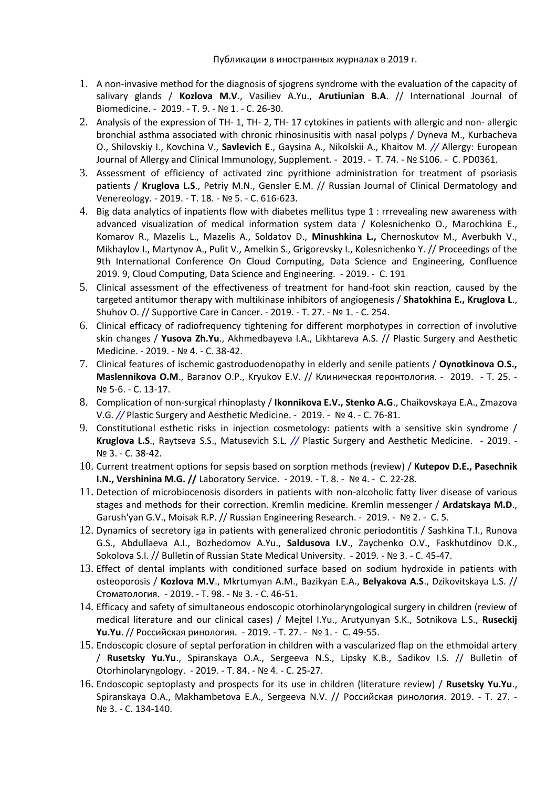- 1. [A non-invasive method for the diagnosis of sjogrens syndrome with the evaluation of the capacity of](https://elibrary.ru/item.asp?id=37084512)  [salivary glands](https://elibrary.ru/item.asp?id=37084512) / **Kozlova M.V**., Vasiliev A.Yu., **Arutiunian B.A**. // [International Journal of](https://elibrary.ru/contents.asp?id=37084507)  [Biomedicine.](https://elibrary.ru/contents.asp?id=37084507) - 2019. - Т. 9. - [№](https://elibrary.ru/contents.asp?id=37084507&selid=37084512) 1. - С. 26-30.
- 2. Analysis of the expression of TH- 1, TH- 2, TH- [17 cytokines in patients with allergic and non-](https://elibrary.ru/item.asp?id=39236801) allergic [bronchial asthma associated with chronic rhinosinusitis with nasal polyps](https://elibrary.ru/item.asp?id=39236801) / Dyneva M., Kurbacheva O., Shilovskiy I., Kovchina V., **Savlevich E**., Gaysina A., Nikolskii A., Khaitov M*. //* [Allergy: European](https://elibrary.ru/contents.asp?id=39185622)  [Journal of Allergy and Clinical Immunology, Supplement.](https://elibrary.ru/contents.asp?id=39185622) - 2019. - Т. 74. - № [S106.](https://elibrary.ru/contents.asp?id=39185622&selid=39236801) - С. PD0361.
- 3. [Assessment of efficiency of activated zinc pyrithione administration for treatment of psoriasis](https://www.elibrary.ru/item.asp?id=41452858)  [patients](https://www.elibrary.ru/item.asp?id=41452858) / **Kruglova L.S**., Petriy M.N., Gensler E.M. // [Russian Journal of Clinical Dermatology and](https://www.elibrary.ru/contents.asp?id=41452845)  [Venereology.](https://www.elibrary.ru/contents.asp?id=41452845) - 2019. - Т. 18. - [№](https://www.elibrary.ru/contents.asp?id=41452845&selid=41452858) 5. - С. 616-623.
- 4. [Big data analytics of inpatients flow with diabetes mellitus type 1 : rrrevealing new awareness with](https://www.elibrary.ru/item.asp?id=41626299)  [advanced visualization of medical information system data](https://www.elibrary.ru/item.asp?id=41626299) / Kolesnichenko O., Marochkina E., Komarov R., Mazelis L., Mazelis A., Soldatov D., **Minushkina L.,** Chernoskutov M., Averbukh V., Mikhaylov I., Martynov A., Pulit V., Amelkin S., Grigorevsky I., Kolesnichenko Y. // Proceedings of the 9th International Conference On Cloud Computing, Data Science and Engineering, Confluence 2019. 9, Cloud Computing, Data Science and Engineering. - 2019. - С. 191
- 5. Clinical assessment of the effectiveness of treatment for hand-foot skin reaction, caused by the targeted antitumor therapy with multikinase inhibitors of angiogenesis / **Shatokhina E., Kruglova L**., Shuhov O. // [Supportive Care in Cancer.](https://www.elibrary.ru/contents.asp?titleid=2122) - 2019. - Т. 27. - № 1. - С. 254.
- 6. [Clinical efficacy of radiofrequency tightening for different morphotypes in correction of involutive](https://www.elibrary.ru/item.asp?id=41676287)  [skin changes](https://www.elibrary.ru/item.asp?id=41676287) / **Yusova Zh.Yu**., Akhmedbayeva I.A., Likhtareva A.S. // [Plastic Surgery and Aesthetic](https://www.elibrary.ru/contents.asp?id=41676281)  [Medicine.](https://www.elibrary.ru/contents.asp?id=41676281) - 2019. - [№](https://www.elibrary.ru/contents.asp?id=41676281&selid=41676287) 4. - С. 38-42.
- 7. [Clinical features of ischemic gastroduodenopathy in elderly and senile patients](https://www.elibrary.ru/item.asp?id=41379208) / **Oynotkinova O.S., Maslennikova O.M**., Baranov O.P., Kryukov E.V. // Клиническая [геронтология](https://www.elibrary.ru/contents.asp?id=41379205). - 2019. - Т. 25. - № [5-6.](https://www.elibrary.ru/contents.asp?id=41379205&selid=41379208) - С. 13-17.
- 8. [Complication of non-surgical rhinoplasty](https://www.elibrary.ru/item.asp?id=41676291) / **Ikonnikova E.V., Stenko A.G**., Chaikovskaya E.A., Zmazova V.G*. //* [Plastic Surgery and Aesthetic Medicine.](https://www.elibrary.ru/contents.asp?id=41676281) - 2019. - [№](https://www.elibrary.ru/contents.asp?id=41676281&selid=41676291) 4. - С. 76-81.
- 9. [Constitutional esthetic risks in injection cosmetology: patients with a sensitive skin syndrome](https://www.elibrary.ru/item.asp?id=41295345) / **Kruglova L.S**., Raytseva S.S., Matusevich S.L*. //* [Plastic Surgery and Aesthetic Medicine.](https://www.elibrary.ru/contents.asp?id=41295341) - 2019. - [№](https://www.elibrary.ru/contents.asp?id=41295341&selid=41295345) 3. - С. 38-42.
- 10. [Current treatment options for sepsis based on sorption methods \(review\)](https://www.elibrary.ru/item.asp?id=41578879) / **Kutepov D.E., Pasechnik I.N., Vershinina M.G. //** [Laboratory Service.](https://www.elibrary.ru/contents.asp?id=41578875) - 2019. - Т. 8. - [№](https://www.elibrary.ru/contents.asp?id=41578875&selid=41578879) 4. - С. 22-28.
- 11. Detection of microbiocenosis disorders in patients with non-alcoholic fatty liver disease of various stages and methods for their correction. Kremlin medicine. Kremlin messenger / **Ardatskaya M.D**., Garush'yan G.V., Moisak R.P. // [Russian Engineering Research.](https://elibrary.ru/contents.asp?titleid=25580) - 2019. - № 2. - С. 5.
- 12. [Dynamics of secretory iga in patients with generalized chronic periodontitis](https://elibrary.ru/item.asp?id=41660522) / Sashkina T.I., Runova G.S., Abdullaeva A.I., Bozhedomov A.Yu., **Saldusova I.V**., Zaychenko O.V., Faskhutdinov D.K., Sokolova S.I. /[/ Bulletin of Russian State Medical University.](https://elibrary.ru/contents.asp?id=41659763) - 2019. - [№](https://elibrary.ru/contents.asp?id=41659763&selid=41660522) 3. - С. 45-47.
- 13. [Effect of dental implants with conditioned surface based on sodium hydroxide in patients with](https://www.elibrary.ru/item.asp?id=39131031)  [osteoporosis](https://www.elibrary.ru/item.asp?id=39131031) / **Kozlova M.V**., Mkrtumyan A.M., Bazikyan E.A., **Belyakova A.S**., Dzikovitskaya L.S. // [Стоматология](https://www.elibrary.ru/contents.asp?id=39131022). - 2019. - Т. 98. - [№](https://www.elibrary.ru/contents.asp?id=39131022&selid=39131031) 3. - С. 46-51.
- 14. [Efficacy and safety of simultaneous endoscopic otorhinolaryngological surgery in children \(review of](https://elibrary.ru/item.asp?id=38511697)  [medical literature and our clinical cases\)](https://elibrary.ru/item.asp?id=38511697) / Mejtel I.Yu., Arutyunyan S.K., Sotnikova L.S., **Ruseckij Yu.Yu**. // [Российская](https://elibrary.ru/contents.asp?id=38511688) ринология. - 2019. - Т. 27. - [№](https://elibrary.ru/contents.asp?id=38511688&selid=38511697) 1. - С. 49-55.
- 15. [Endoscopic closure of septal perforation in children with a vascularized flap on the ethmoidal artery](https://elibrary.ru/item.asp?id=41172627) / **Rusetsky Yu.Yu**., Spiranskaya O.A., Sergeeva N.S., Lipsky K.B., Sadikov I.S. // [Bulletin of](https://elibrary.ru/contents.asp?id=41172621)  [Otorhinolaryngology.](https://elibrary.ru/contents.asp?id=41172621) - 2019. - Т. 84. - [№](https://elibrary.ru/contents.asp?id=41172621&selid=41172627) 4. - С. 25-27.
- 16. [Endoscopic septoplasty and prospects for its use in children \(literature review\)](https://elibrary.ru/item.asp?id=41337890) / **Rusetsky Yu.Yu**., Spiranskaya O.A., Makhambetova E.A., Sergeeva N.V. // [Российская](https://elibrary.ru/contents.asp?id=41337887) ринология. 2019. - Т. 27. - [№](https://elibrary.ru/contents.asp?id=41337887&selid=41337890) 3. - С. 134-140.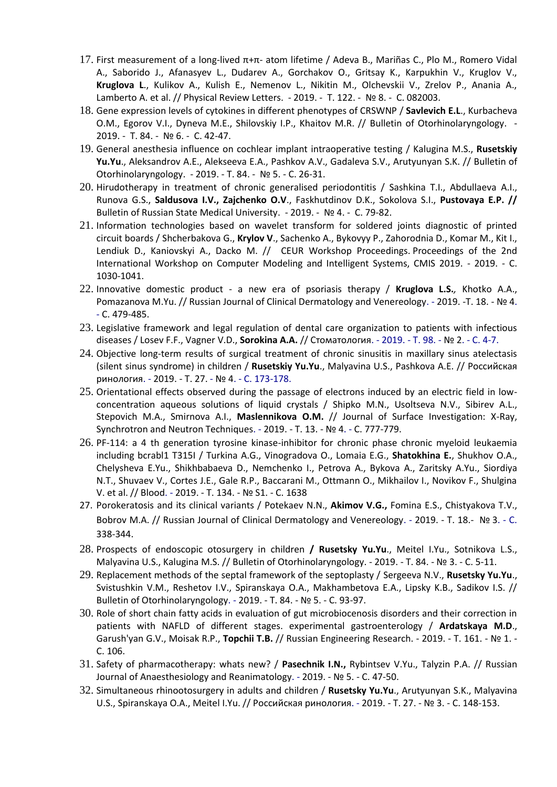- 17. [First measurement of a long-lived](https://www.elibrary.ru/item.asp?id=38701939) π+π- atom lifetime / Adeva B., Mariñas C., Plo M., Romero Vidal A., Saborido J., Afanasyev L., Dudarev A., Gorchakov O., Gritsay K., Karpukhin V., Kruglov V., **Kruglova L**., Kulikov A., Kulish E., Nemenov L., Nikitin M., Olchevskii V., Zrelov P., Anania A., Lamberto A. et al. // [Physical Review Letters.](https://www.elibrary.ru/contents.asp?id=38679290) - 2019. - Т. 122. - [№](https://www.elibrary.ru/contents.asp?id=38679290&selid=38701939) 8. - С. 082003.
- 18. [Gene expression levels of cytokines in different phenotypes of CRSWNP](https://elibrary.ru/item.asp?id=42408365) / **Savlevich E.L**., Kurbacheva O.M., Egorov V.I., Dyneva M.E., Shilovskiy I.P., Khaitov M.R. // [Bulletin of Otorhinolaryngology.](https://elibrary.ru/contents.asp?id=42408357) - 2019. - Т. 84. - [№](https://elibrary.ru/contents.asp?id=42408357&selid=42408365) 6. - С. 42-47.
- 19. [General anesthesia influence on cochlear implant intraoperative testing](https://elibrary.ru/item.asp?id=41465622) / Kalugina M.S., **Rusetskiy Yu.Yu**., Aleksandrov A.E., Alekseeva E.A., Pashkov A.V., Gadaleva S.V., Arutyunyan S.K. // [Bulletin of](https://elibrary.ru/contents.asp?id=41465618)  [Otorhinolaryngology.](https://elibrary.ru/contents.asp?id=41465618) - 2019. - Т. 84. - [№](https://elibrary.ru/contents.asp?id=41465618&selid=41465622) 5. - С. 26-31.
- 20. [Hirudotherapy in treatment of chronic generalised periodontitis](https://elibrary.ru/item.asp?id=41647087) / Sashkina T.I., Abdullaeva A.I., Runova G.S., **Saldusova I.V., Zajchenko O.V**., Faskhutdinov D.K., Sokolova S.I., **Pustovaya E.P. //**  [Bulletin of Russian State Medical University.](https://elibrary.ru/contents.asp?id=41639925) - 2019. - [№](https://elibrary.ru/contents.asp?id=41639925&selid=41647087) 4. - С. 79-82.
- 21. [Information technologies based on wavelet transform for soldered joints diagnostic of printed](https://www.elibrary.ru/item.asp?id=38705051)  [circuit boards](https://www.elibrary.ru/item.asp?id=38705051) / Shcherbakova G., **Krylov V**., Sachenko A., Bykovyy P., Zahorodnia D., Komar M., Kit I., Lendiuk D., Kaniovskyi A., Dacko M. // CEUR Workshop Proceedings. Proceedings of the 2nd International Workshop on Computer Modeling and Intelligent Systems, CMIS 2019. - 2019. - С. 1030-1041.
- 22. Innovative domestic product a new era of psoriasis therapy / **Kruglova L.S.***,* Khotko A.A., Pomazanova M.Yu. // Russian Journal of Clinical Dermatology and Venereology. - 2019. -Т. 18. - № 4. - С. 479-485.
- 23. Legislative framework and legal regulation of dental care organization to patients with infectious diseases / Losev F.F., Vagner V.D., **Sorokina A.A.** // Стоматология. - 2019. - Т. 98. - № 2. - С. 4-7.
- 24. Objective long-term results of surgical treatment of chronic sinusitis in maxillary sinus atelectasis (silent sinus syndrome) in children / **Rusetskiy Yu.Yu**., Malyavina U.S., Pashkova A.E. // Российская ринология. - 2019. - Т. 27. - № 4. - С. 173-178.
- 25. Orientational effects observed during the passage of electrons induced by an electric field in lowconcentration aqueous solutions of liquid crystals / Shipko M.N., Usoltseva N.V., Sibirev A.L., Stepovich M.A., Smirnova A.I., **Maslennikova O.M.** // Journal of Surface Investigation: X-Ray, Synchrotron and Neutron Techniques. - 2019. - Т. 13. - № 4. - С. 777-779.
- 26. PF-114: a 4 th generation tyrosine kinase-inhibitor for chronic phase chronic myeloid leukaemia including bcrabl1 T315I / Turkina A.G., Vinogradova O., Lomaia E.G., **Shatokhina E.**, Shukhov O.A., Chelysheva E.Yu., Shikhbabaeva D., Nemchenko I., Petrova A., Bykova A., Zaritsky A.Yu., Siordiya N.T., Shuvaev V., Cortes J.E., Gale R.P., Baccarani M., Ottmann O., Mikhailov I., Novikov F., Shulgina V. et al. // Blood. - 2019. - Т. 134. - № S1. - С. 1638
- 27. Porokeratosis and its clinical variants / Potekaev N.N., **Akimov V.G.,** Fomina E.S., Chistyakova T.V., Bobrov M.A. // Russian Journal of Clinical Dermatology and Venereology. - 2019. - Т. 18.- № 3. - С. 338-344.
- 28. Prospects of endoscopic otosurgery in children **/ Rusetsky Yu.Yu**., Meitel I.Yu., Sotnikova L.S., Malyavina U.S., Kalugina M.S. // Bulletin of Otorhinolaryngology. - 2019. - Т. 84. - № 3. - С. 5-11.
- 29. Replacement methods of the septal framework of the septoplasty / Sergeeva N.V., **Rusetsky Yu.Yu**., Svistushkin V.M., Reshetov I.V., Spiranskaya O.A., Makhambetova E.A., Lipsky K.B., Sadikov I.S. // Bulletin of Otorhinolaryngology. - 2019. - Т. 84. - № 5. - С. 93-97.
- 30. Role of short chain fatty acids in evaluation of gut microbiocenosis disorders and their correction in patients with NAFLD of different stages. experimental gastroenterology / **Ardatskaya M.D**., Garush'yan G.V., Moisak R.P., **Topchii T.B.** // Russian Engineering Research. - 2019. - Т. 161. - № 1. - С. 106.
- 31. Safety of pharmacotherapy: whats new? / **Pasechnik I.N.,** Rybintsev V.Yu., Talyzin P.A. // Russian Journal of Anаеsthesiology and Reanimatology. - 2019. - № 5. - С. 47-50.
- 32. Simultaneous rhinootosurgery in adults and children / **Rusetsky Yu.Yu**., Arutyunyan S.K., Malyavina U.S., Spiranskaya O.A., Meitel I.Yu. // Российская ринология. - 2019. - Т. 27. - № 3. - С. 148-153.